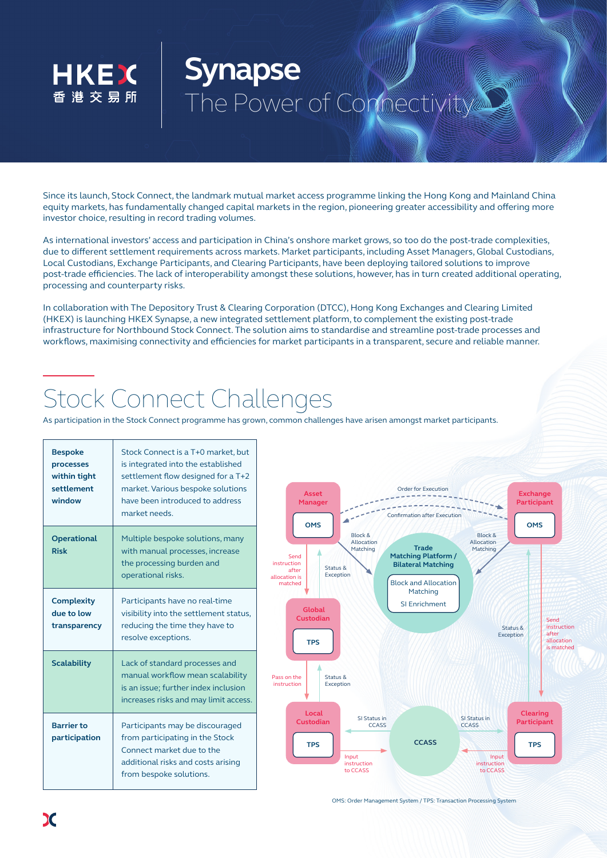

## **Synapse** The Power of Connectivity

Since its launch, Stock Connect, the landmark mutual market access programme linking the Hong Kong and Mainland China equity markets, has fundamentally changed capital markets in the region, pioneering greater accessibility and offering more investor choice, resulting in record trading volumes.

As international investors' access and participation in China's onshore market grows, so too do the post-trade complexities, due to different settlement requirements across markets. Market participants, including Asset Managers, Global Custodians, Local Custodians, Exchange Participants, and Clearing Participants, have been deploying tailored solutions to improve post-trade efficiencies. The lack of interoperability amongst these solutions, however, has in turn created additional operating, processing and counterparty risks.

In collaboration with The Depository Trust & Clearing Corporation (DTCC), Hong Kong Exchanges and Clearing Limited (HKEX) is launching HKEX Synapse, a new integrated settlement platform, to complement the existing post-trade infrastructure for Northbound Stock Connect. The solution aims to standardise and streamline post-trade processes and workflows, maximising connectivity and efficiencies for market participants in a transparent, secure and reliable manner.

## Stock Connect Challenges

As participation in the Stock Connect programme has grown, common challenges have arisen amongst market participants.

| <b>Bespoke</b><br>processes<br>within tight<br>settlement<br>window | Stock Connect is a T+0 market, but<br>is integrated into the established<br>settlement flow designed for a T+2<br>market. Various bespoke solutions<br>have been introduced to address<br>market needs. |
|---------------------------------------------------------------------|---------------------------------------------------------------------------------------------------------------------------------------------------------------------------------------------------------|
| <b>Operational</b><br><b>Risk</b>                                   | Multiple bespoke solutions, many<br>with manual processes, increase<br>the processing burden and<br>operational risks.                                                                                  |
| <b>Complexity</b><br>due to low<br>transparency                     | Participants have no real-time<br>visibility into the settlement status,<br>reducing the time they have to<br>resolve exceptions.                                                                       |
| <b>Scalability</b>                                                  | Lack of standard processes and<br>manual workflow mean scalability<br>is an issue; further index inclusion<br>increases risks and may limit access.                                                     |
| <b>Barrier to</b><br>participation                                  | Participants may be discouraged<br>from participating in the Stock<br>Connect market due to the<br>additional risks and costs arising<br>from bespoke solutions.                                        |



OMS: Order Management System / TPS: Transaction Processing System